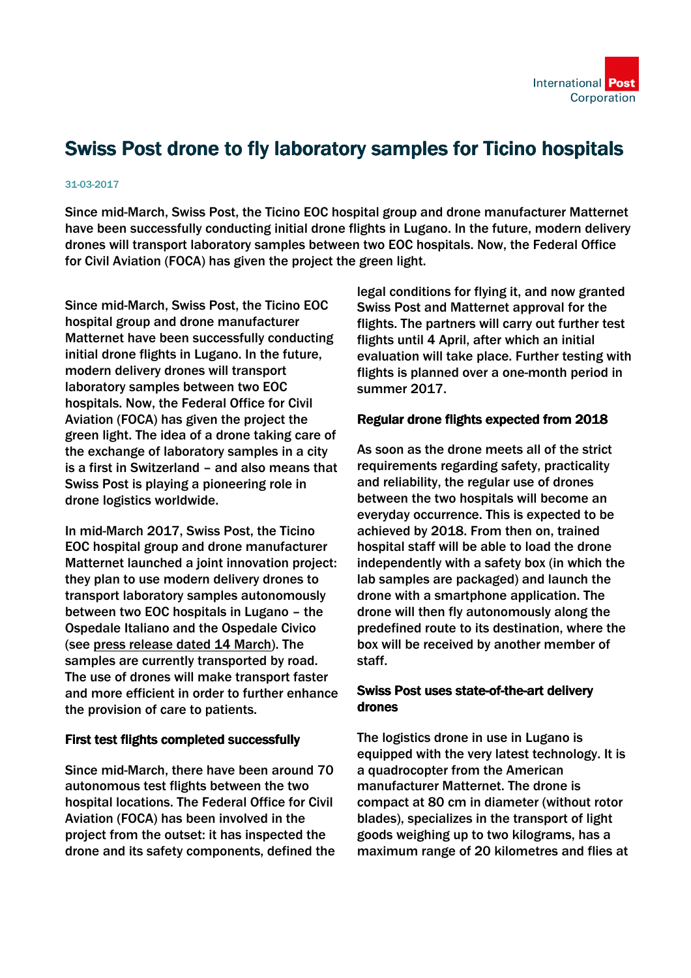

# Swiss Post drone to fly laboratory samples for Ticino hospitals

#### 31-03-2017

Since mid-March, Swiss Post, the Ticino EOC hospital group and drone manufacturer Matternet have been successfully conducting initial drone flights in Lugano. In the future, modern delivery drones will transport laboratory samples between two EOC hospitals. Now, the Federal Office for Civil Aviation (FOCA) has given the project the green light.

Since mid-March, Swiss Post, the Ticino EOC hospital group and drone manufacturer Matternet have been successfully conducting initial drone flights in Lugano. In the future, modern delivery drones will transport laboratory samples between two EOC hospitals. Now, the Federal Office for Civil Aviation (FOCA) has given the project the green light. The idea of a drone taking care of the exchange of laboratory samples in a city is a first in Switzerland – and also means that Swiss Post is playing a pioneering role in drone logistics worldwide.

In mid-March 2017, Swiss Post, the Ticino EOC hospital group and drone manufacturer Matternet launched a joint innovation project: they plan to use modern delivery drones to transport laboratory samples autonomously between two EOC hospitals in Lugano – the Ospedale Italiano and the Ospedale Civico (see [press release dated 14 March\)](https://www.post.ch/en/about-us/company/media/press-releases/2017/swiss-post-is-planning-to-use-drones). The samples are currently transported by road. The use of drones will make transport faster and more efficient in order to further enhance the provision of care to patients.

#### First test flights completed successfully

Since mid-March, there have been around 70 autonomous test flights between the two hospital locations. The Federal Office for Civil Aviation (FOCA) has been involved in the project from the outset: it has inspected the drone and its safety components, defined the legal conditions for flying it, and now granted Swiss Post and Matternet approval for the flights. The partners will carry out further test flights until 4 April, after which an initial evaluation will take place. Further testing with flights is planned over a one-month period in summer 2017.

## Regular drone flights expected from 2018

As soon as the drone meets all of the strict requirements regarding safety, practicality and reliability, the regular use of drones between the two hospitals will become an everyday occurrence. This is expected to be achieved by 2018. From then on, trained hospital staff will be able to load the drone independently with a safety box (in which the lab samples are packaged) and launch the drone with a smartphone application. The drone will then fly autonomously along the predefined route to its destination, where the box will be received by another member of staff.

## Swiss Post uses state-of-the-art delivery drones

The logistics drone in use in Lugano is equipped with the very latest technology. It is a quadrocopter from the American manufacturer Matternet. The drone is compact at 80 cm in diameter (without rotor blades), specializes in the transport of light goods weighing up to two kilograms, has a maximum range of 20 kilometres and flies at